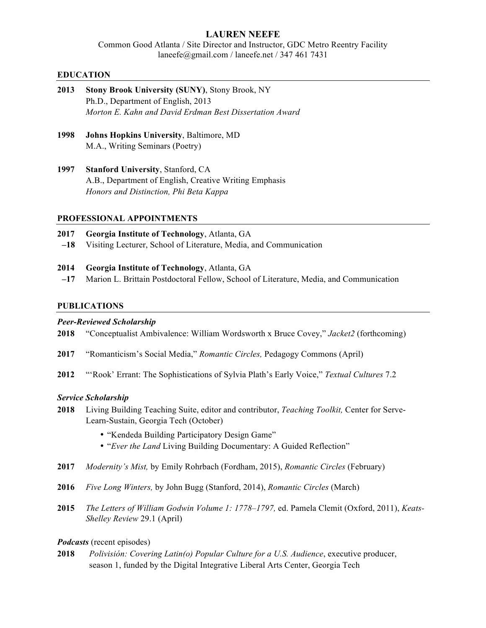## **LAUREN NEEFE**

Common Good Atlanta / Site Director and Instructor, GDC Metro Reentry Facility laneefe@gmail.com / laneefe.net / 347 461 7431

## **EDUCATION**

- **2013 Stony Brook University (SUNY)**, Stony Brook, NY Ph.D., Department of English, 2013 *Morton E. Kahn and David Erdman Best Dissertation Award*
- **1998 Johns Hopkins University**, Baltimore, MD M.A., Writing Seminars (Poetry)
- **1997 Stanford University**, Stanford, CA A.B., Department of English, Creative Writing Emphasis *Honors and Distinction, Phi Beta Kappa*

## **PROFESSIONAL APPOINTMENTS**

- **2017 Georgia Institute of Technology**, Atlanta, GA
- **–18** Visiting Lecturer, School of Literature, Media, and Communication
- **2014 Georgia Institute of Technology**, Atlanta, GA
- **–17** Marion L. Brittain Postdoctoral Fellow, School of Literature, Media, and Communication

### **PUBLICATIONS**

### *Peer-Reviewed Scholarship*

- **2018** "Conceptualist Ambivalence: William Wordsworth x Bruce Covey," *Jacket2* (forthcoming)
- **2017** "Romanticism's Social Media," *Romantic Circles,* Pedagogy Commons (April)
- **2012** "'Rook' Errant: The Sophistications of Sylvia Plath's Early Voice," *Textual Cultures* 7.2

### *Service Scholarship*

- **2018** Living Building Teaching Suite, editor and contributor, *Teaching Toolkit,* Center for Serve-Learn-Sustain, Georgia Tech (October)
	- "Kendeda Building Participatory Design Game"
	- "*Ever the Land* Living Building Documentary: A Guided Reflection"
- **2017** *Modernity's Mist,* by Emily Rohrbach (Fordham, 2015), *Romantic Circles* (February)
- **2016** *Five Long Winters,* by John Bugg (Stanford, 2014), *Romantic Circles* (March)
- **2015** *The Letters of William Godwin Volume 1: 1778–1797,* ed. Pamela Clemit (Oxford, 2011), *Keats-Shelley Review* 29.1 (April)

### *Podcasts* (recent episodes)

**2018** *Polivisión: Covering Latin(o) Popular Culture for a U.S. Audience*, executive producer, season 1, funded by the Digital Integrative Liberal Arts Center, Georgia Tech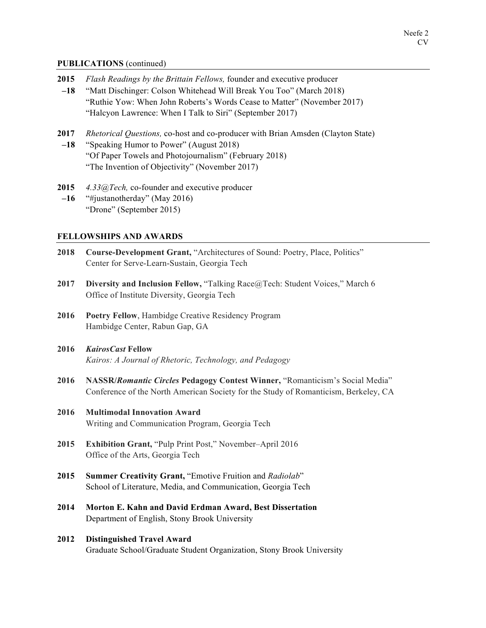### **PUBLICATIONS** (continued)

- **2015** *Flash Readings by the Brittain Fellows,* founder and executive producer **–18** "Matt Dischinger: Colson Whitehead Will Break You Too" (March 2018) "Ruthie Yow: When John Roberts's Words Cease to Matter" (November 2017) "Halcyon Lawrence: When I Talk to Siri" (September 2017) **2017** *Rhetorical Questions,* co-host and co-producer with Brian Amsden (Clayton State)
- **–18** "Speaking Humor to Power" (August 2018) "Of Paper Towels and Photojournalism" (February 2018) "The Invention of Objectivity" (November 2017)
- **2015** *4.33@Tech,* co-founder and executive producer **–16** "#justanotherday" (May 2016) "Drone" (September 2015)

## **FELLOWSHIPS AND AWARDS**

- **2018 Course-Development Grant,** "Architectures of Sound: Poetry, Place, Politics" Center for Serve-Learn-Sustain, Georgia Tech
- **2017 Diversity and Inclusion Fellow,** "Talking Race@Tech: Student Voices," March 6 Office of Institute Diversity, Georgia Tech
- **2016 Poetry Fellow**, Hambidge Creative Residency Program Hambidge Center, Rabun Gap, GA
- **2016** *KairosCast* **Fellow** *Kairos: A Journal of Rhetoric, Technology, and Pedagogy*
- **2016 NASSR/***Romantic Circles* **Pedagogy Contest Winner,** "Romanticism's Social Media" Conference of the North American Society for the Study of Romanticism, Berkeley, CA
- **2016 Multimodal Innovation Award** Writing and Communication Program, Georgia Tech
- **2015 Exhibition Grant,** "Pulp Print Post," November–April 2016 Office of the Arts, Georgia Tech
- **2015 Summer Creativity Grant,** "Emotive Fruition and *Radiolab*" School of Literature, Media, and Communication, Georgia Tech
- **2014 Morton E. Kahn and David Erdman Award, Best Dissertation** Department of English, Stony Brook University

## **2012 Distinguished Travel Award** Graduate School/Graduate Student Organization, Stony Brook University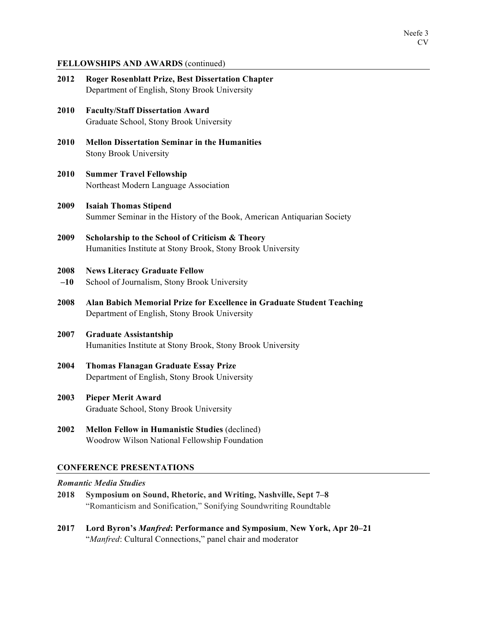### **FELLOWSHIPS AND AWARDS** (continued)

| 2012          | <b>Roger Rosenblatt Prize, Best Dissertation Chapter</b><br>Department of English, Stony Brook University               |  |  |  |  |
|---------------|-------------------------------------------------------------------------------------------------------------------------|--|--|--|--|
| 2010          | <b>Faculty/Staff Dissertation Award</b><br>Graduate School, Stony Brook University                                      |  |  |  |  |
| 2010          | <b>Mellon Dissertation Seminar in the Humanities</b><br><b>Stony Brook University</b>                                   |  |  |  |  |
| 2010          | <b>Summer Travel Fellowship</b><br>Northeast Modern Language Association                                                |  |  |  |  |
| 2009          | <b>Isaiah Thomas Stipend</b><br>Summer Seminar in the History of the Book, American Antiquarian Society                 |  |  |  |  |
| 2009          | Scholarship to the School of Criticism & Theory<br>Humanities Institute at Stony Brook, Stony Brook University          |  |  |  |  |
| 2008<br>$-10$ | <b>News Literacy Graduate Fellow</b><br>School of Journalism, Stony Brook University                                    |  |  |  |  |
| 2008          | Alan Babich Memorial Prize for Excellence in Graduate Student Teaching<br>Department of English, Stony Brook University |  |  |  |  |
| 2007          | <b>Graduate Assistantship</b><br>Humanities Institute at Stony Brook, Stony Brook University                            |  |  |  |  |
| 2004          | <b>Thomas Flanagan Graduate Essay Prize</b><br>Department of English, Stony Brook University                            |  |  |  |  |
| 2003          | <b>Pieper Merit Award</b><br>Graduate School, Stony Brook University                                                    |  |  |  |  |
| 2002          | Mellon Fellow in Humanistic Studies (declined)<br>Woodrow Wilson National Fellowship Foundation                         |  |  |  |  |

# **CONFERENCE PRESENTATIONS**

## *Romantic Media Studies*

- **2018 Symposium on Sound, Rhetoric, and Writing, Nashville, Sept 7–8** "Romanticism and Sonification," Sonifying Soundwriting Roundtable
- **2017 Lord Byron's** *Manfred***: Performance and Symposium**, **New York, Apr 20–21** "*Manfred*: Cultural Connections," panel chair and moderator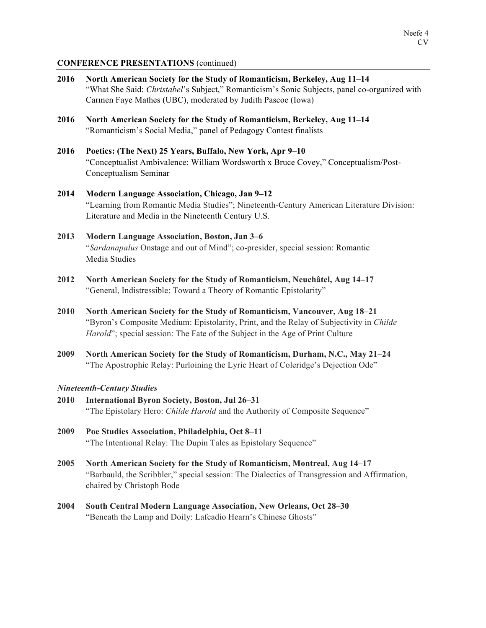## **CONFERENCE PRESENTATIONS** (continued)

| 2016 | North American Society for the Study of Romanticism, Berkeley, Aug 11-14<br>"What She Said: Christabel's Subject," Romanticism's Sonic Subjects, panel co-organized with<br>Carmen Faye Mathes (UBC), moderated by Judith Pascoe (Iowa)                       |  |  |  |  |
|------|---------------------------------------------------------------------------------------------------------------------------------------------------------------------------------------------------------------------------------------------------------------|--|--|--|--|
| 2016 | North American Society for the Study of Romanticism, Berkeley, Aug 11-14<br>"Romanticism's Social Media," panel of Pedagogy Contest finalists                                                                                                                 |  |  |  |  |
| 2016 | Poetics: (The Next) 25 Years, Buffalo, New York, Apr 9-10<br>"Conceptualist Ambivalence: William Wordsworth x Bruce Covey," Conceptualism/Post-<br>Conceptualism Seminar                                                                                      |  |  |  |  |
| 2014 | Modern Language Association, Chicago, Jan 9-12<br>"Learning from Romantic Media Studies"; Nineteenth-Century American Literature Division:<br>Literature and Media in the Nineteenth Century U.S.                                                             |  |  |  |  |
| 2013 | Modern Language Association, Boston, Jan 3-6<br>"Sardanapalus Onstage and out of Mind"; co-presider, special session: Romantic<br>Media Studies                                                                                                               |  |  |  |  |
| 2012 | North American Society for the Study of Romanticism, Neuchâtel, Aug 14-17<br>"General, Indistressible: Toward a Theory of Romantic Epistolarity"                                                                                                              |  |  |  |  |
| 2010 | North American Society for the Study of Romanticism, Vancouver, Aug 18-21<br>"Byron's Composite Medium: Epistolarity, Print, and the Relay of Subjectivity in Childe<br><i>Harold</i> "; special session: The Fate of the Subject in the Age of Print Culture |  |  |  |  |
| 2009 | North American Society for the Study of Romanticism, Durham, N.C., May 21-24<br>"The Apostrophic Relay: Purloining the Lyric Heart of Coleridge's Dejection Ode"                                                                                              |  |  |  |  |
| 2010 | <b>Nineteenth-Century Studies</b><br>International Byron Society, Boston, Jul 26-31<br>"The Epistolary Hero: Childe Harold and the Authority of Composite Sequence"                                                                                           |  |  |  |  |
| 2009 | Poe Studies Association, Philadelphia, Oct 8-11                                                                                                                                                                                                               |  |  |  |  |

- "The Intentional Relay: The Dupin Tales as Epistolary Sequence" **2005 North American Society for the Study of Romanticism, Montreal, Aug 14–17**
	- "Barbauld, the Scribbler," special session: The Dialectics of Transgression and Affirmation, chaired by Christoph Bode
- **2004 South Central Modern Language Association, New Orleans, Oct 28–30** "Beneath the Lamp and Doily: Lafcadio Hearn's Chinese Ghosts"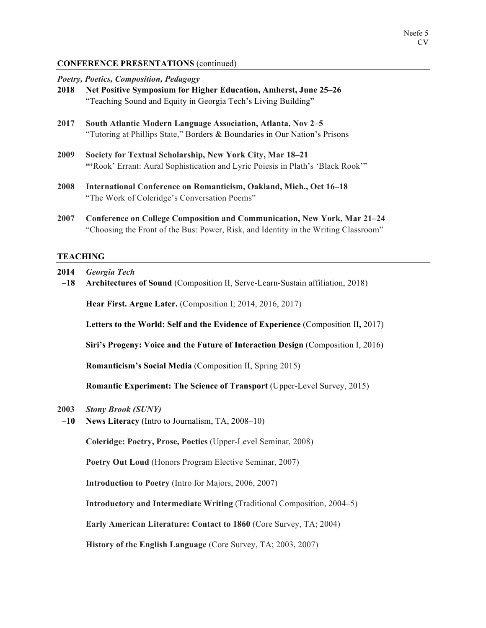## **CONFERENCE PRESENTATIONS** (continued)

|  | Poetry, Poetics, Composition, Pedagogy |  |
|--|----------------------------------------|--|
|  |                                        |  |

- **2018 Net Positive Symposium for Higher Education, Amherst, June 25–26** "Teaching Sound and Equity in Georgia Tech's Living Building"
- **2017 South Atlantic Modern Language Association, Atlanta, Nov 2–5** "Tutoring at Phillips State," Borders & Boundaries in Our Nation's Prisons
- **2009 Society for Textual Scholarship, New York City, Mar 18–21 "'**Rook' Errant: Aural Sophistication and Lyric Poiesis in Plath's 'Black Rook'"
- **2008 International Conference on Romanticism, Oakland, Mich., Oct 16–18** "The Work of Coleridge's Conversation Poems"
- **2007 Conference on College Composition and Communication, New York, Mar 21–24** "Choosing the Front of the Bus: Power, Risk, and Identity in the Writing Classroom"

### **TEACHING**

- **2014** *Georgia Tech*
- **–18 Architectures of Sound** (Composition II, Serve-Learn-Sustain affiliation, 2018)

**Hear First. Argue Later.** (Composition I; 2014, 2016, 2017)

**Letters to the World: Self and the Evidence of Experience** (Composition II**,** 2017)

**Siri's Progeny: Voice and the Future of Interaction Design** (Composition I, 2016)

**Romanticism's Social Media** (Composition II, Spring 2015)

**Romantic Experiment: The Science of Transport** (Upper-Level Survey, 2015)

- **2003** *Stony Brook (SUNY)*
- **–10 News Literacy** (Intro to Journalism, TA, 2008–10)

**Coleridge: Poetry, Prose, Poetics** (Upper-Level Seminar, 2008)

**Poetry Out Loud** (Honors Program Elective Seminar, 2007)

**Introduction to Poetry** (Intro for Majors, 2006, 2007)

**Introductory and Intermediate Writing** (Traditional Composition, 2004–5)

**Early American Literature: Contact to 1860** (Core Survey, TA; 2004)

**History of the English Language** (Core Survey, TA; 2003, 2007)